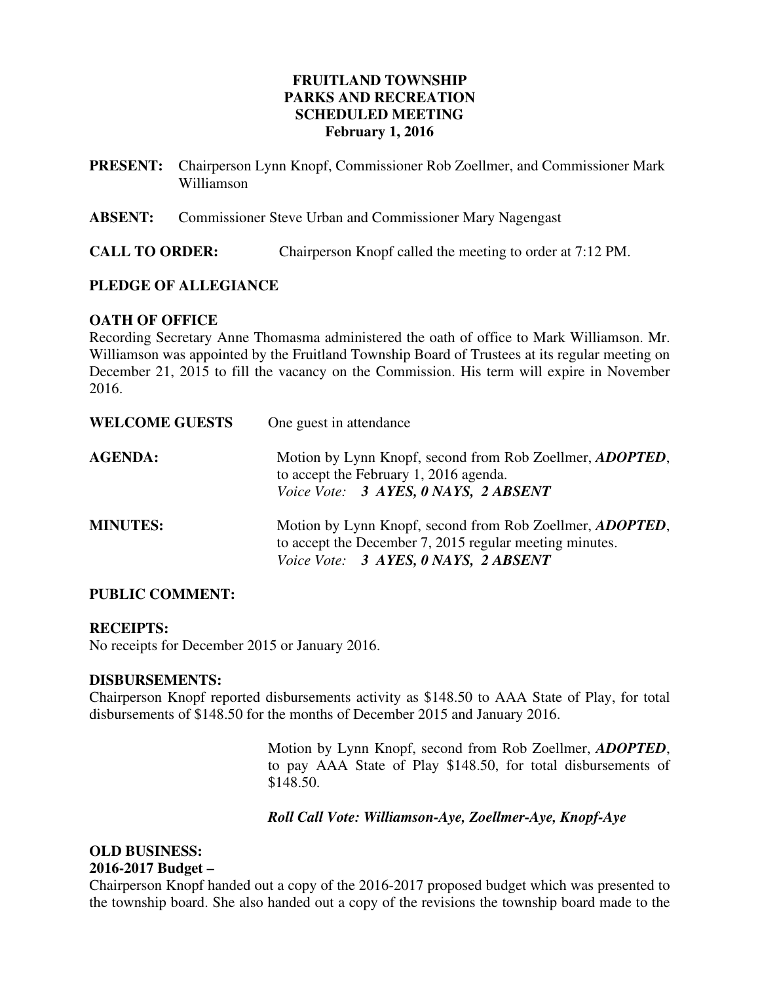# **FRUITLAND TOWNSHIP PARKS AND RECREATION SCHEDULED MEETING February 1, 2016**

| PRESENT: Chairperson Lynn Knopf, Commissioner Rob Zoellmer, and Commissioner Mark |
|-----------------------------------------------------------------------------------|
| Williamson                                                                        |

**ABSENT:** Commissioner Steve Urban and Commissioner Mary Nagengast

**CALL TO ORDER:** Chairperson Knopf called the meeting to order at 7:12 PM.

# **PLEDGE OF ALLEGIANCE**

## **OATH OF OFFICE**

Recording Secretary Anne Thomasma administered the oath of office to Mark Williamson. Mr. Williamson was appointed by the Fruitland Township Board of Trustees at its regular meeting on December 21, 2015 to fill the vacancy on the Commission. His term will expire in November 2016.

| <b>WELCOME GUESTS</b> | One guest in attendance                                                                                                                                             |
|-----------------------|---------------------------------------------------------------------------------------------------------------------------------------------------------------------|
| <b>AGENDA:</b>        | Motion by Lynn Knopf, second from Rob Zoellmer, <i>ADOPTED</i> ,<br>to accept the February 1, 2016 agenda.<br>Voice Vote: 3 AYES, 0 NAYS, 2 ABSENT                  |
| <b>MINUTES:</b>       | Motion by Lynn Knopf, second from Rob Zoellmer, <i>ADOPTED</i> ,<br>to accept the December 7, 2015 regular meeting minutes.<br>Voice Vote: 3 AYES, 0 NAYS, 2 ABSENT |

## **PUBLIC COMMENT:**

## **RECEIPTS:**

No receipts for December 2015 or January 2016.

## **DISBURSEMENTS:**

Chairperson Knopf reported disbursements activity as \$148.50 to AAA State of Play, for total disbursements of \$148.50 for the months of December 2015 and January 2016.

> Motion by Lynn Knopf, second from Rob Zoellmer, *ADOPTED*, to pay AAA State of Play \$148.50, for total disbursements of \$148.50.

## *Roll Call Vote: Williamson-Aye, Zoellmer-Aye, Knopf-Aye*

## **OLD BUSINESS: 2016-2017 Budget –**

Chairperson Knopf handed out a copy of the 2016-2017 proposed budget which was presented to the township board. She also handed out a copy of the revisions the township board made to the